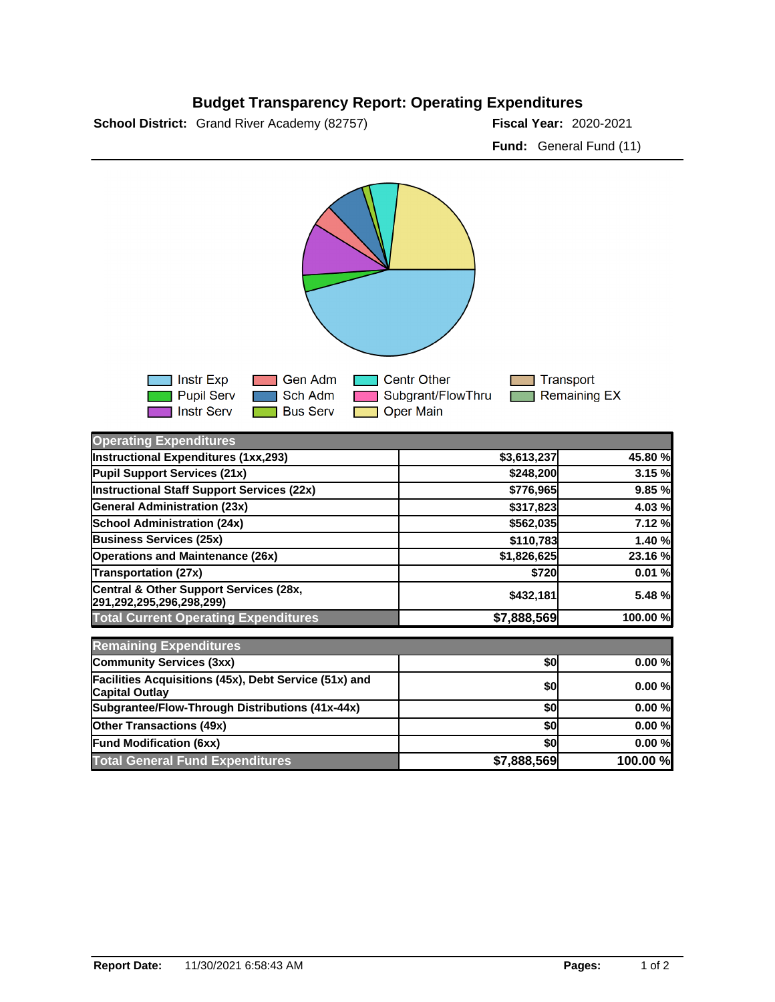## **Budget Transparency Report: Operating Expenditures**

**School District:** Grand River Academy (82757) **2020-2021 Fiscal Year:** 2020-2021

**Fund:** General Fund (11)



| <b>Operating Expenditures</b>                                                  |             |          |
|--------------------------------------------------------------------------------|-------------|----------|
| Instructional Expenditures (1xx,293)                                           | \$3,613,237 | 45.80 %  |
| Pupil Support Services (21x)                                                   | \$248,200   | 3.15 %   |
| Instructional Staff Support Services (22x)                                     | \$776,965   | 9.85 %   |
| <b>General Administration (23x)</b>                                            | \$317,823   | 4.03%    |
| School Administration (24x)                                                    | \$562,035   | 7.12 %   |
| <b>Business Services (25x)</b>                                                 | \$110,783   | 1.40 %   |
| <b>Operations and Maintenance (26x)</b>                                        | \$1,826,625 | 23.16 %  |
| <b>Transportation (27x)</b>                                                    | \$720       | 0.01%    |
| Central & Other Support Services (28x,<br>291,292,295,296,298,299)             | \$432,181   | 5.48 %   |
| <b>Total Current Operating Expenditures</b>                                    | \$7,888,569 | 100.00 % |
| <b>Remaining Expenditures</b>                                                  |             |          |
| Community Services (3xx)                                                       | \$0         | 0.00%    |
| Facilities Acquisitions (45x), Debt Service (51x) and<br><b>Capital Outlay</b> | \$0         | 0.00%    |
| Subgrantee/Flow-Through Distributions (41x-44x)                                | \$0         | 0.00%    |
| <b>Other Transactions (49x)</b>                                                | \$0         | 0.00%    |
| <b>Fund Modification (6xx)</b>                                                 | \$0         | 0.00%    |
| <b>Total General Fund Expenditures</b>                                         | \$7,888,569 | 100.00 % |